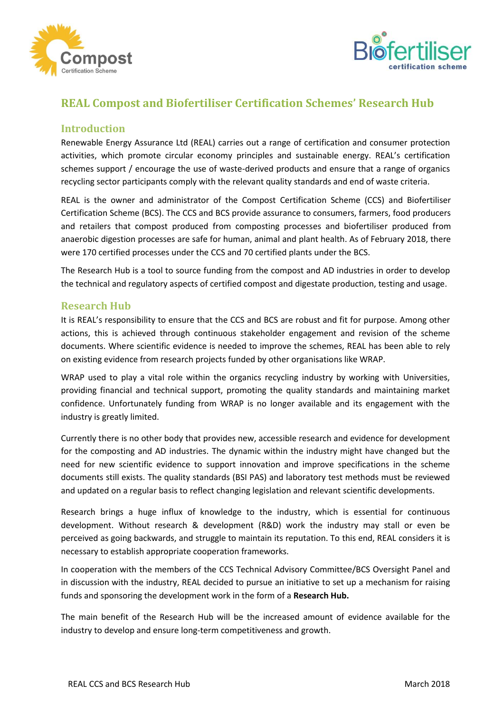



# **REAL Compost and Biofertiliser Certification Schemes' Research Hub**

## **Introduction**

Renewable Energy Assurance Ltd (REAL) carries out a range of certification and consumer protection activities, which promote circular economy principles and sustainable energy. REAL's certification schemes support / encourage the use of waste-derived products and ensure that a range of organics recycling sector participants comply with the relevant quality standards and end of waste criteria.

REAL is the owner and administrator of the Compost Certification Scheme (CCS) and Biofertiliser Certification Scheme (BCS). The CCS and BCS provide assurance to consumers, farmers, food producers and retailers that compost produced from composting processes and biofertiliser produced from anaerobic digestion processes are safe for human, animal and plant health. As of February 2018, there were 170 certified processes under the CCS and 70 certified plants under the BCS.

The Research Hub is a tool to source funding from the compost and AD industries in order to develop the technical and regulatory aspects of certified compost and digestate production, testing and usage.

#### **Research Hub**

It is REAL's responsibility to ensure that the CCS and BCS are robust and fit for purpose. Among other actions, this is achieved through continuous stakeholder engagement and revision of the scheme documents. Where scientific evidence is needed to improve the schemes, REAL has been able to rely on existing evidence from research projects funded by other organisations like WRAP.

WRAP used to play a vital role within the organics recycling industry by working with Universities, providing financial and technical support, promoting the quality standards and maintaining market confidence. Unfortunately funding from WRAP is no longer available and its engagement with the industry is greatly limited.

Currently there is no other body that provides new, accessible research and evidence for development for the composting and AD industries. The dynamic within the industry might have changed but the need for new scientific evidence to support innovation and improve specifications in the scheme documents still exists. The quality standards (BSI PAS) and laboratory test methods must be reviewed and updated on a regular basis to reflect changing legislation and relevant scientific developments.

Research brings a huge influx of knowledge to the industry, which is essential for continuous development. Without research & development (R&D) work the industry may stall or even be perceived as going backwards, and struggle to maintain its reputation. To this end, REAL considers it is necessary to establish appropriate cooperation frameworks.

In cooperation with the members of the CCS Technical Advisory Committee/BCS Oversight Panel and in discussion with the industry, REAL decided to pursue an initiative to set up a mechanism for raising funds and sponsoring the development work in the form of a **Research Hub.**

The main benefit of the Research Hub will be the increased amount of evidence available for the industry to develop and ensure long-term competitiveness and growth.